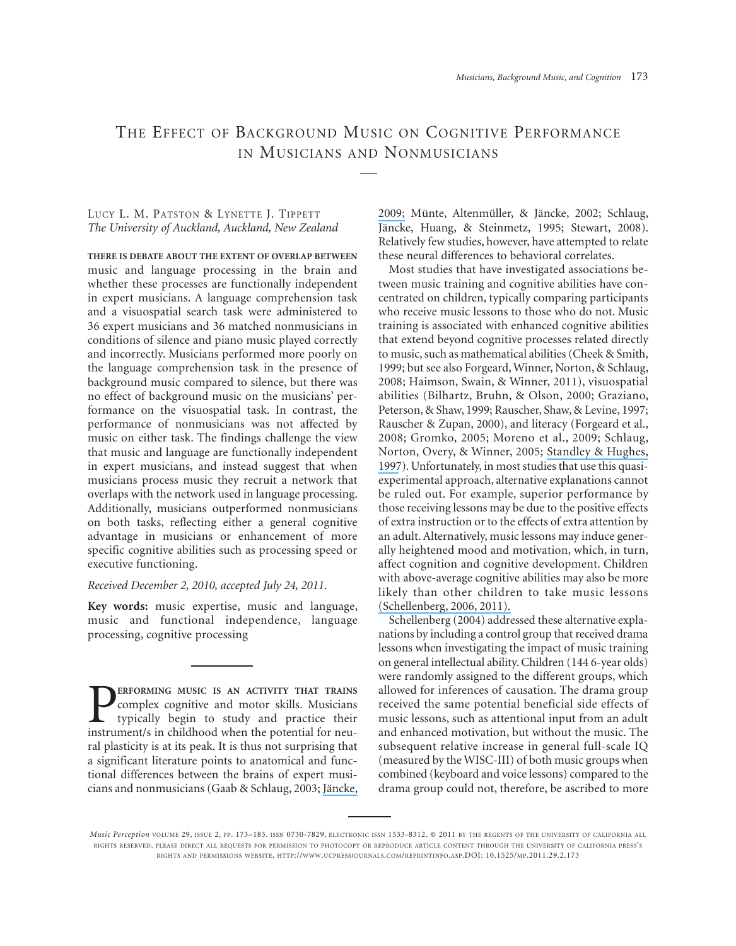# THE EFFECT OF BACKGROUND MUSIC ON COGNITIVE PERFORMANCE in Musicians and Nonmusicians

# LUCY L. M. PATSTON & LYNETTE J. TIPPETT *The University of Auckland, Auckland, New Zealand*

**there is debate about the extent of overlap between** music and language processing in the brain and whether these processes are functionally independent in expert musicians. A language comprehension task and a visuospatial search task were administered to 36 expert musicians and 36 matched nonmusicians in conditions of silence and piano music played correctly and incorrectly. Musicians performed more poorly on the language comprehension task in the presence of background music compared to silence, but there was no effect of background music on the musicians' performance on the visuospatial task. In contrast, the performance of nonmusicians was not affected by music on either task. The findings challenge the view that music and language are functionally independent in expert musicians, and instead suggest that when musicians process music they recruit a network that overlaps with the network used in language processing. Additionally, musicians outperformed nonmusicians on both tasks, reflecting either a general cognitive advantage in musicians or enhancement of more specific cognitive abilities such as processing speed or executive functioning.

#### *Received December 2, 2010, accepted July 24, 2011*.

**Key words:** music expertise, music and language, music and functional independence, language processing, cognitive processing

**PERFORMING MUSIC IS AN ACTIVITY THAT TRAINS**<br>typically begin to study and practice their<br>instrument/s in childhood when the potential for neucomplex cognitive and motor skills. Musicians typically begin to study and practice their instrument/s in childhood when the potential for neural plasticity is at its peak. It is thus not surprising that a significant literature points to anatomical and functional differences between the brains of expert musicians and nonmusicians (Gaab & Schlaug, 2003; [Jäncke,](https://www.researchgate.net/publication/47430098_Music_drives_brain_plasticity?el=1_x_8&enrichId=rgreq-162b870224c03654c9af4ffb64a488bc-XXX&enrichSource=Y292ZXJQYWdlOzI1NjQ2MDA4NjtBUzo5OTM0NjE1MDMzMDM3MUAxNDAwNjk3Mzc2MTYx) 

[2009;](https://www.researchgate.net/publication/47430098_Music_drives_brain_plasticity?el=1_x_8&enrichId=rgreq-162b870224c03654c9af4ffb64a488bc-XXX&enrichSource=Y292ZXJQYWdlOzI1NjQ2MDA4NjtBUzo5OTM0NjE1MDMzMDM3MUAxNDAwNjk3Mzc2MTYx) Münte, Altenmüller, & Jäncke, 2002; Schlaug, Jäncke, Huang, & Steinmetz, 1995; Stewart, 2008). Relatively few studies, however, have attempted to relate these neural differences to behavioral correlates.

Most studies that have investigated associations between music training and cognitive abilities have concentrated on children, typically comparing participants who receive music lessons to those who do not. Music training is associated with enhanced cognitive abilities that extend beyond cognitive processes related directly to music, such as mathematical abilities (Cheek & Smith, 1999; but see also Forgeard, Winner, Norton, & Schlaug, 2008; Haimson, Swain, & Winner, 2011), visuospatial abilities (Bilhartz, Bruhn, & Olson, 2000; Graziano, Peterson, & Shaw, 1999; Rauscher, Shaw, & Levine, 1997; Rauscher & Zupan, 2000), and literacy (Forgeard et al., 2008; Gromko, 2005; Moreno et al., 2009; Schlaug, Norton, Overy, & Winner, 2005; [Standley & Hughes,](https://www.researchgate.net/publication/270733980_Evaluation_of_An_Early_Intervention_Music_Curriculum_for_Enhancing_PrereadingWriting_Skills?el=1_x_8&enrichId=rgreq-162b870224c03654c9af4ffb64a488bc-XXX&enrichSource=Y292ZXJQYWdlOzI1NjQ2MDA4NjtBUzo5OTM0NjE1MDMzMDM3MUAxNDAwNjk3Mzc2MTYx)  [1997](https://www.researchgate.net/publication/270733980_Evaluation_of_An_Early_Intervention_Music_Curriculum_for_Enhancing_PrereadingWriting_Skills?el=1_x_8&enrichId=rgreq-162b870224c03654c9af4ffb64a488bc-XXX&enrichSource=Y292ZXJQYWdlOzI1NjQ2MDA4NjtBUzo5OTM0NjE1MDMzMDM3MUAxNDAwNjk3Mzc2MTYx)). Unfortunately, in most studies that use this quasiexperimental approach, alternative explanations cannot be ruled out. For example, superior performance by those receiving lessons may be due to the positive effects of extra instruction or to the effects of extra attention by an adult. Alternatively, music lessons may induce generally heightened mood and motivation, which, in turn, affect cognition and cognitive development. Children with above-average cognitive abilities may also be more likely than other children to take music lessons [\(Schellenberg, 2006, 2011\).](https://www.researchgate.net/publication/51488360_Examining_the_association_between_music_lessons_and_intelligence?el=1_x_8&enrichId=rgreq-162b870224c03654c9af4ffb64a488bc-XXX&enrichSource=Y292ZXJQYWdlOzI1NjQ2MDA4NjtBUzo5OTM0NjE1MDMzMDM3MUAxNDAwNjk3Mzc2MTYx) 

Schellenberg (2004) addressed these alternative explanations by including a control group that received drama lessons when investigating the impact of music training on general intellectual ability. Children (144 6-year olds) were randomly assigned to the different groups, which allowed for inferences of causation. The drama group received the same potential beneficial side effects of music lessons, such as attentional input from an adult and enhanced motivation, but without the music. The subsequent relative increase in general full-scale IQ (measured by the WISC-III) of both music groups when combined (keyboard and voice lessons) compared to the drama group could not, therefore, be ascribed to more

*Music Perception VOLUME 29, ISSUE 2, PP. 173-183. ISSN 0730-7829, ELECTRONIC ISSN 1533-8312.* © 2011 BY THE REGENTS OF THE UNIVERSITY OF CALIFORNIA ALL rights reserved. please direct all requests for permission to photocopy or reproduce article content through the university of california press's rights and permissions website, http://www.ucpressjournals.com/reprintinfo.asp.DOI: 10.1525/mp.2011.29.2.173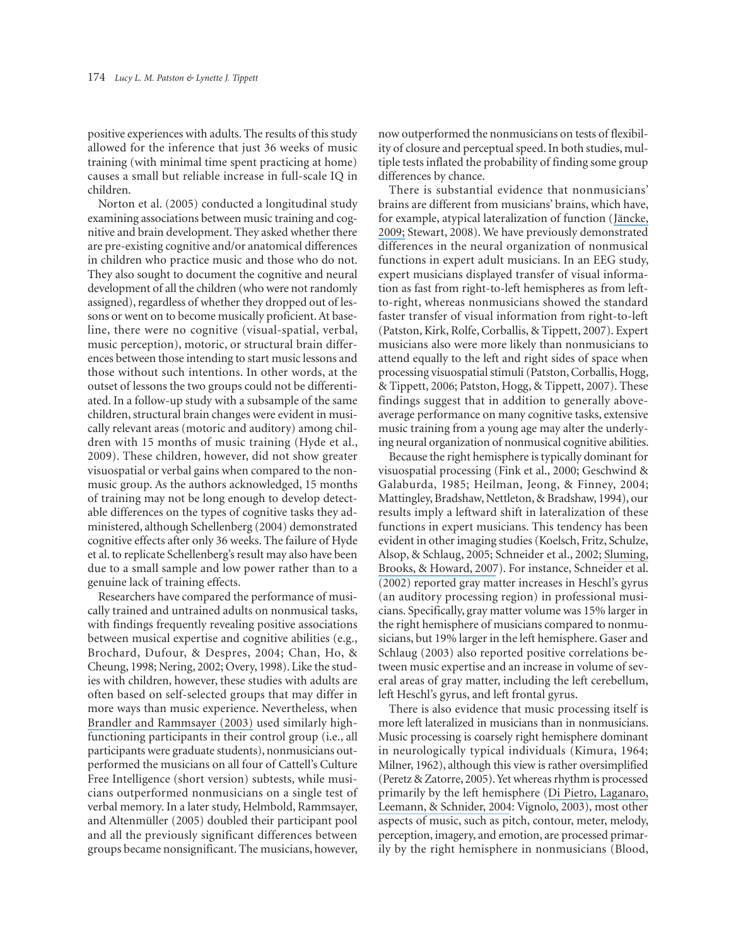positive experiences with adults. The results of this study allowed for the inference that just 36 weeks of music training (with minimal time spent practicing at home) causes a small but reliable increase in full-scale IQ in children.

Norton et al. (2005) conducted a longitudinal study examining associations between music training and cognitive and brain development. They asked whether there are pre-existing cognitive and/or anatomical differences in children who practice music and those who do not. They also sought to document the cognitive and neural development of all the children (who were not randomly assigned), regardless of whether they dropped out of lessons or went on to become musically proficient. At baseline, there were no cognitive (visual-spatial, verbal, music perception), motoric, or structural brain differences between those intending to start music lessons and those without such intentions. In other words, at the outset of lessons the two groups could not be differentiated. In a follow-up study with a subsample of the same children, structural brain changes were evident in musically relevant areas (motoric and auditory) among children with 15 months of music training (Hyde et al., 2009). These children, however, did not show greater visuospatial or verbal gains when compared to the nonmusic group. As the authors acknowledged, 15 months of training may not be long enough to develop detectable differences on the types of cognitive tasks they administered, although Schellenberg (2004) demonstrated cognitive effects after only 36 weeks. The failure of Hyde et al. to replicate Schellenberg's result may also have been due to a small sample and low power rather than to a genuine lack of training effects.

Researchers have compared the performance of musically trained and untrained adults on nonmusical tasks, with findings frequently revealing positive associations between musical expertise and cognitive abilities (e.g., Brochard, Dufour, & Despres, 2004; Chan, Ho, & Cheung, 1998; Nering, 2002; Overy, 1998). Like the studies with children, however, these studies with adults are often based on self-selected groups that may differ in more ways than music experience. Nevertheless, when [Brandler and Rammsayer \(2003\)](https://www.researchgate.net/publication/270626587_Differences_in_Mental_Abilities_between_Musicians_and_Non-Musicians?el=1_x_8&enrichId=rgreq-162b870224c03654c9af4ffb64a488bc-XXX&enrichSource=Y292ZXJQYWdlOzI1NjQ2MDA4NjtBUzo5OTM0NjE1MDMzMDM3MUAxNDAwNjk3Mzc2MTYx) used similarly highfunctioning participants in their control group (i.e., all participants were graduate students), nonmusicians outperformed the musicians on all four of Cattell's Culture Free Intelligence (short version) subtests, while musicians outperformed nonmusicians on a single test of verbal memory. In a later study, Helmbold, Rammsayer, and Altenmüller (2005) doubled their participant pool and all the previously significant differences between groups became nonsignificant. The musicians, however, now outperformed the nonmusicians on tests of flexibility of closure and perceptual speed. In both studies, multiple tests inflated the probability of finding some group differences by chance.

There is substantial evidence that nonmusicians' brains are different from musicians' brains, which have, for example, atypical lateralization of function ([Jäncke,](https://www.researchgate.net/publication/47430098_Music_drives_brain_plasticity?el=1_x_8&enrichId=rgreq-162b870224c03654c9af4ffb64a488bc-XXX&enrichSource=Y292ZXJQYWdlOzI1NjQ2MDA4NjtBUzo5OTM0NjE1MDMzMDM3MUAxNDAwNjk3Mzc2MTYx) [2009;](https://www.researchgate.net/publication/47430098_Music_drives_brain_plasticity?el=1_x_8&enrichId=rgreq-162b870224c03654c9af4ffb64a488bc-XXX&enrichSource=Y292ZXJQYWdlOzI1NjQ2MDA4NjtBUzo5OTM0NjE1MDMzMDM3MUAxNDAwNjk3Mzc2MTYx) Stewart, 2008). We have previously demonstrated differences in the neural organization of nonmusical functions in expert adult musicians. In an EEG study, expert musicians displayed transfer of visual information as fast from right-to-left hemispheres as from leftto-right, whereas nonmusicians showed the standard faster transfer of visual information from right-to-left (Patston, Kirk, Rolfe, Corballis, & Tippett, 2007). Expert musicians also were more likely than nonmusicians to attend equally to the left and right sides of space when processing visuospatial stimuli (Patston, Corballis, Hogg, & Tippett, 2006; Patston, Hogg, & Tippett, 2007). These findings suggest that in addition to generally aboveaverage performance on many cognitive tasks, extensive music training from a young age may alter the underlying neural organization of nonmusical cognitive abilities.

Because the right hemisphere is typically dominant for visuospatial processing (Fink et al., 2000; Geschwind & Galaburda, 1985; Heilman, Jeong, & Finney, 2004; Mattingley, Bradshaw, Nettleton, & Bradshaw, 1994), our results imply a leftward shift in lateralization of these functions in expert musicians. This tendency has been evident in other imaging studies (Koelsch, Fritz, Schulze, Alsop, & Schlaug, 2005; Schneider et al., 2002; [Sluming,](https://www.researchgate.net/publication/6413202_Broca)  [Brooks, & Howard, 2007](https://www.researchgate.net/publication/6413202_Broca)). For instance, Schneider et al. (2002) reported gray matter increases in Heschl's gyrus (an auditory processing region) in professional musicians. Specifically, gray matter volume was 15% larger in the right hemisphere of musicians compared to nonmusicians, but 19% larger in the left hemisphere. Gaser and Schlaug (2003) also reported positive correlations between music expertise and an increase in volume of several areas of gray matter, including the left cerebellum, left Heschl's gyrus, and left frontal gyrus.

There is also evidence that music processing itself is more left lateralized in musicians than in nonmusicians. Music processing is coarsely right hemisphere dominant in neurologically typical individuals (Kimura, 1964; Milner, 1962), although this view is rather oversimplified (Peretz & Zatorre, 2005). Yet whereas rhythm is processed primarily by the left hemisphere ([Di Pietro, Laganaro,](https://www.researchgate.net/publication/7247962_Receptive_amusia_Temporal_auditory_processing_deficit_in_a_professional_musician_following_a_left_temporo-parietal_lesion?el=1_x_8&enrichId=rgreq-162b870224c03654c9af4ffb64a488bc-XXX&enrichSource=Y292ZXJQYWdlOzI1NjQ2MDA4NjtBUzo5OTM0NjE1MDMzMDM3MUAxNDAwNjk3Mzc2MTYx)  [Leemann, & Schnider, 2004](https://www.researchgate.net/publication/7247962_Receptive_amusia_Temporal_auditory_processing_deficit_in_a_professional_musician_following_a_left_temporo-parietal_lesion?el=1_x_8&enrichId=rgreq-162b870224c03654c9af4ffb64a488bc-XXX&enrichSource=Y292ZXJQYWdlOzI1NjQ2MDA4NjtBUzo5OTM0NjE1MDMzMDM3MUAxNDAwNjk3Mzc2MTYx): Vignolo, 2003), most other aspects of music, such as pitch, contour, meter, melody, perception, imagery, and emotion, are processed primarily by the right hemisphere in nonmusicians (Blood,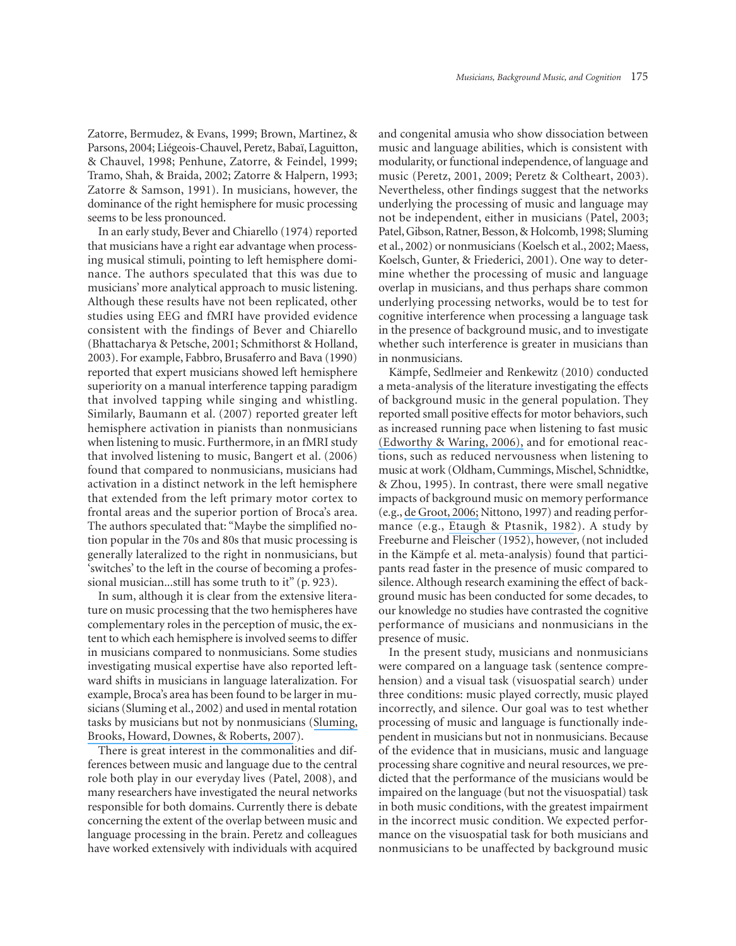Zatorre, Bermudez, & Evans, 1999; Brown, Martinez, & Parsons, 2004; Liégeois-Chauvel, Peretz, Bab[aï](http://www.brams.umontreal.ca/plab/publications/from_author/babai_m), Laguitton, & Chauvel, 1998; Penhune, Zatorre, & Feindel, 1999; Tramo, Shah, & Braida, 2002; Zatorre & Halpern, 1993; Zatorre & Samson, 1991). In musicians, however, the dominance of the right hemisphere for music processing seems to be less pronounced.

In an early study, Bever and Chiarello (1974) reported that musicians have a right ear advantage when processing musical stimuli, pointing to left hemisphere dominance. The authors speculated that this was due to musicians' more analytical approach to music listening. Although these results have not been replicated, other studies using EEG and fMRI have provided evidence consistent with the findings of Bever and Chiarello (Bhattacharya & Petsche, 2001; Schmithorst & Holland, 2003). For example, Fabbro, Brusaferro and Bava (1990) reported that expert musicians showed left hemisphere superiority on a manual interference tapping paradigm that involved tapping while singing and whistling. Similarly, Baumann et al. (2007) reported greater left hemisphere activation in pianists than nonmusicians when listening to music. Furthermore, in an fMRI study that involved listening to music, Bangert et al. (2006) found that compared to nonmusicians, musicians had activation in a distinct network in the left hemisphere that extended from the left primary motor cortex to frontal areas and the superior portion of Broca's area. The authors speculated that: "Maybe the simplified notion popular in the 70s and 80s that music processing is generally lateralized to the right in nonmusicians, but 'switches' to the left in the course of becoming a professional musician...still has some truth to it" (p. 923).

In sum, although it is clear from the extensive literature on music processing that the two hemispheres have complementary roles in the perception of music, the extent to which each hemisphere is involved seems to differ in musicians compared to nonmusicians. Some studies investigating musical expertise have also reported leftward shifts in musicians in language lateralization. For example, Broca's area has been found to be larger in musicians (Sluming et al., 2002) and used in mental rotation tasks by musicians but not by nonmusicians ([Sluming,](https://www.researchgate.net/publication/6413202_Broca) [Brooks, Howard, Downes, & Roberts, 2007](https://www.researchgate.net/publication/6413202_Broca)).

There is great interest in the commonalities and differences between music and language due to the central role both play in our everyday lives (Patel, 2008), and many researchers have investigated the neural networks responsible for both domains. Currently there is debate concerning the extent of the overlap between music and language processing in the brain. Peretz and colleagues have worked extensively with individuals with acquired and congenital amusia who show dissociation between music and language abilities, which is consistent with modularity, or functional independence, of language and music (Peretz, 2001, 2009; Peretz & Coltheart, 2003). Nevertheless, other findings suggest that the networks underlying the processing of music and language may not be independent, either in musicians (Patel, 2003; Patel, Gibson, Ratner, Besson, & Holcomb, 1998; Sluming et al., 2002) or nonmusicians (Koelsch et al., 2002; Maess, Koelsch, Gunter, & Friederici, 2001). One way to determine whether the processing of music and language overlap in musicians, and thus perhaps share common underlying processing networks, would be to test for cognitive interference when processing a language task in the presence of background music, and to investigate whether such interference is greater in musicians than in nonmusicians.

Kämpfe, Sedlmeier and Renkewitz (2010) conducted a meta-analysis of the literature investigating the effects of background music in the general population. They reported small positive effects for motor behaviors, such as increased running pace when listening to fast music [\(Edworthy & Waring, 2006\),](https://www.researchgate.net/publication/6705777_The_effects_of_music_tempo_and_loudness_level_on_treadmill_exercise?el=1_x_8&enrichId=rgreq-162b870224c03654c9af4ffb64a488bc-XXX&enrichSource=Y292ZXJQYWdlOzI1NjQ2MDA4NjtBUzo5OTM0NjE1MDMzMDM3MUAxNDAwNjk3Mzc2MTYx) and for emotional reactions, such as reduced nervousness when listening to music at work (Oldham, Cummings, Mischel, Schnidtke, & Zhou, 1995). In contrast, there were small negative impacts of background music on memory performance (e.g., [de Groot, 2006;](https://www.researchgate.net/publication/229809470_Effects_of_Stimulus_Characteristics_and_Background_Music_on_Foreign_Language_Vocabulary_Learning_and_Forgetting?el=1_x_8&enrichId=rgreq-162b870224c03654c9af4ffb64a488bc-XXX&enrichSource=Y292ZXJQYWdlOzI1NjQ2MDA4NjtBUzo5OTM0NjE1MDMzMDM3MUAxNDAwNjk3Mzc2MTYx) Nittono, 1997) and reading performance (e.g., [Etaugh & Ptasnik, 1982](https://www.researchgate.net/publication/234698596_Effects_of_Studying_to_Music_and_Post-Study_Relaxation_on_Reading_Comprehension?el=1_x_8&enrichId=rgreq-162b870224c03654c9af4ffb64a488bc-XXX&enrichSource=Y292ZXJQYWdlOzI1NjQ2MDA4NjtBUzo5OTM0NjE1MDMzMDM3MUAxNDAwNjk3Mzc2MTYx)). A study by Freeburne and Fleischer (1952), however, (not included in the Kämpfe et al. meta-analysis) found that participants read faster in the presence of music compared to silence. Although research examining the effect of background music has been conducted for some decades, to our knowledge no studies have contrasted the cognitive performance of musicians and nonmusicians in the presence of music.

In the present study, musicians and nonmusicians were compared on a language task (sentence comprehension) and a visual task (visuospatial search) under three conditions: music played correctly, music played incorrectly, and silence. Our goal was to test whether processing of music and language is functionally independent in musicians but not in nonmusicians. Because of the evidence that in musicians, music and language processing share cognitive and neural resources, we predicted that the performance of the musicians would be impaired on the language (but not the visuospatial) task in both music conditions, with the greatest impairment in the incorrect music condition. We expected performance on the visuospatial task for both musicians and nonmusicians to be unaffected by background music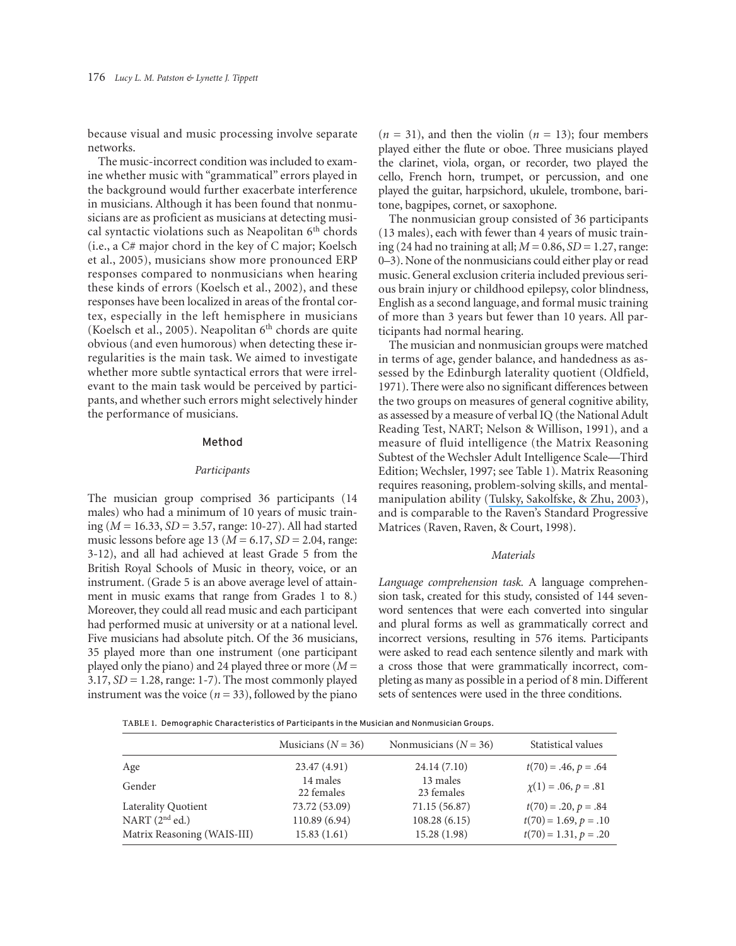because visual and music processing involve separate networks.

The music-incorrect condition was included to examine whether music with "grammatical" errors played in the background would further exacerbate interference in musicians. Although it has been found that nonmusicians are as proficient as musicians at detecting musical syntactic violations such as Neapolitan 6<sup>th</sup> chords (i.e., a C# major chord in the key of C major; Koelsch et al., 2005), musicians show more pronounced ERP responses compared to nonmusicians when hearing these kinds of errors (Koelsch et al., 2002), and these responses have been localized in areas of the frontal cortex, especially in the left hemisphere in musicians (Koelsch et al., 2005). Neapolitan 6<sup>th</sup> chords are quite obvious (and even humorous) when detecting these irregularities is the main task. We aimed to investigate whether more subtle syntactical errors that were irrelevant to the main task would be perceived by participants, and whether such errors might selectively hinder the performance of musicians.

#### Method

## *Participants*

The musician group comprised 36 participants (14 males) who had a minimum of 10 years of music training (*M* = 16.33, *SD* = 3.57, range: 10-27). All had started music lessons before age 13 (*M* = 6.17, *SD* = 2.04, range: 3-12), and all had achieved at least Grade 5 from the British Royal Schools of Music in theory, voice, or an instrument. (Grade 5 is an above average level of attainment in music exams that range from Grades 1 to 8.) Moreover, they could all read music and each participant had performed music at university or at a national level. Five musicians had absolute pitch. Of the 36 musicians, 35 played more than one instrument (one participant played only the piano) and 24 played three or more (*M* = 3.17, *SD* = 1.28, range: 1-7). The most commonly played instrument was the voice  $(n = 33)$ , followed by the piano

 $(n = 31)$ , and then the violin  $(n = 13)$ ; four members played either the flute or oboe. Three musicians played the clarinet, viola, organ, or recorder, two played the cello, French horn, trumpet, or percussion, and one played the guitar, harpsichord, ukulele, trombone, baritone, bagpipes, cornet, or saxophone.

The nonmusician group consisted of 36 participants (13 males), each with fewer than 4 years of music training (24 had no training at all; *M* = 0.86, *SD* = 1.27, range: 0–3). None of the nonmusicians could either play or read music. General exclusion criteria included previous serious brain injury or childhood epilepsy, color blindness, English as a second language, and formal music training of more than 3 years but fewer than 10 years. All participants had normal hearing.

The musician and nonmusician groups were matched in terms of age, gender balance, and handedness as assessed by the Edinburgh laterality quotient (Oldfield, 1971). There were also no significant differences between the two groups on measures of general cognitive ability, as assessed by a measure of verbal IQ (the National Adult Reading Test, NART; Nelson & Willison, 1991), and a measure of fluid intelligence (the Matrix Reasoning Subtest of the Wechsler Adult Intelligence Scale—Third Edition; Wechsler, 1997; see Table 1). Matrix Reasoning requires reasoning, problem-solving skills, and mentalmanipulation ability ([Tulsky, Sakolfske, & Zhu, 2003](https://www.researchgate.net/publication/285216243_Revising_a_standard_An_evaluation_of_the_origin_and_development_of_the_WAIS-III?el=1_x_8&enrichId=rgreq-162b870224c03654c9af4ffb64a488bc-XXX&enrichSource=Y292ZXJQYWdlOzI1NjQ2MDA4NjtBUzo5OTM0NjE1MDMzMDM3MUAxNDAwNjk3Mzc2MTYx)), and is comparable to the Raven's Standard Progressive Matrices (Raven, Raven, & Court, 1998).

#### *Materials*

*Language comprehension task.* A language comprehension task, created for this study, consisted of 144 sevenword sentences that were each converted into singular and plural forms as well as grammatically correct and incorrect versions, resulting in 576 items. Participants were asked to read each sentence silently and mark with a cross those that were grammatically incorrect, completing as many as possible in a period of 8 min. Different sets of sentences were used in the three conditions.

**Table 1.** Demographic Characteristics of Participants in the Musician and Nonmusician Groups.

|                             | Musicians ( $N = 36$ ) | Nonmusicians ( $N = 36$ ) | Statistical values       |
|-----------------------------|------------------------|---------------------------|--------------------------|
| Age                         | 23.47 (4.91)           | 24.14(7.10)               | $t(70) = .46, p = .64$   |
| Gender                      | 14 males<br>22 females | 13 males<br>23 females    | $\chi(1) = .06, p = .81$ |
| Laterality Quotient         | 73.72 (53.09)          | 71.15 (56.87)             | $t(70) = .20, p = .84$   |
| NART $(2nd ed.)$            | 110.89 (6.94)          | 108.28(6.15)              | $t(70) = 1.69, p = .10$  |
| Matrix Reasoning (WAIS-III) | 15.83(1.61)            | 15.28(1.98)               | $t(70) = 1.31, p = .20$  |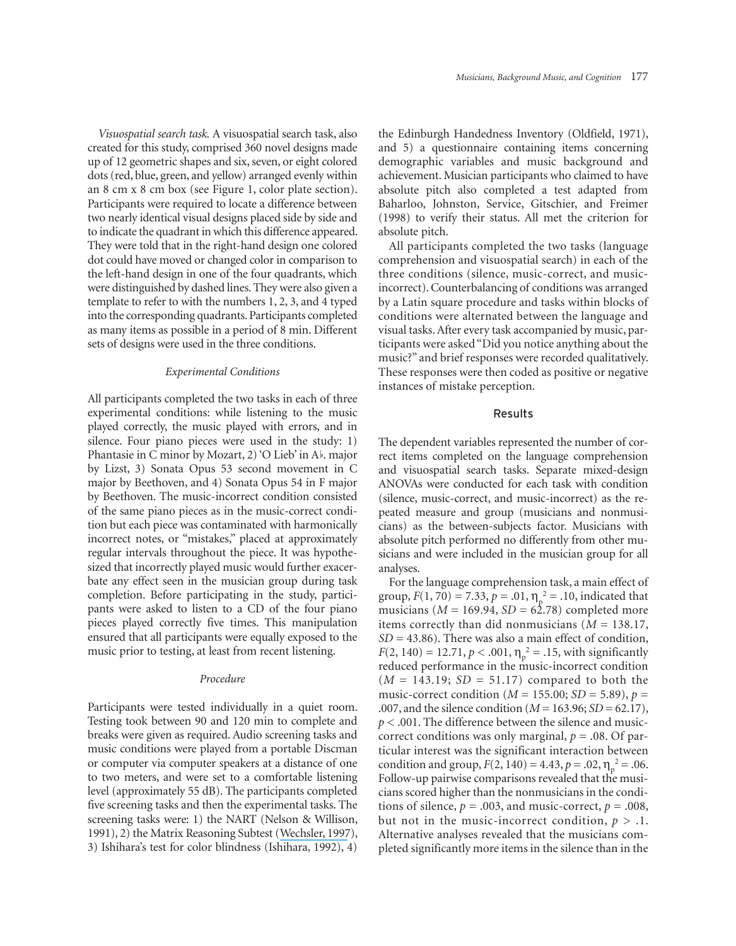*Visuospatial search task.* A visuospatial search task, also created for this study, comprised 360 novel designs made up of 12 geometric shapes and six, seven, or eight colored dots (red, blue, green, and yellow) arranged evenly within an 8 cm x 8 cm box (see Figure 1, color plate section). Participants were required to locate a difference between two nearly identical visual designs placed side by side and to indicate the quadrant in which this difference appeared. They were told that in the right-hand design one colored dot could have moved or changed color in comparison to the left-hand design in one of the four quadrants, which were distinguished by dashed lines. They were also given a template to refer to with the numbers 1, 2, 3, and 4 typed into the corresponding quadrants. Participants completed as many items as possible in a period of 8 min. Different sets of designs were used in the three conditions.

## *Experimental Conditions*

All participants completed the two tasks in each of three experimental conditions: while listening to the music played correctly, the music played with errors, and in silence. Four piano pieces were used in the study: 1) Phantasie in C minor by Mozart, 2) 'O Lieb' in A♭ . major by Lizst, 3) Sonata Opus 53 second movement in C major by Beethoven, and 4) Sonata Opus 54 in F major by Beethoven. The music-incorrect condition consisted of the same piano pieces as in the music-correct condition but each piece was contaminated with harmonically incorrect notes, or "mistakes," placed at approximately regular intervals throughout the piece. It was hypothesized that incorrectly played music would further exacerbate any effect seen in the musician group during task completion. Before participating in the study, participants were asked to listen to a CD of the four piano pieces played correctly five times. This manipulation ensured that all participants were equally exposed to the music prior to testing, at least from recent listening.

## *Procedure*

Participants were tested individually in a quiet room. Testing took between 90 and 120 min to complete and breaks were given as required. Audio screening tasks and music conditions were played from a portable Discman or computer via computer speakers at a distance of one to two meters, and were set to a comfortable listening level (approximately 55 dB). The participants completed five screening tasks and then the experimental tasks. The screening tasks were: 1) the NART (Nelson & Willison, 1991), 2) the Matrix Reasoning Subtest ([Wechsler, 1997](https://www.researchgate.net/publication/289963775_Wechsler_Adult_Intelligence_Scale-Third_Edition?el=1_x_8&enrichId=rgreq-162b870224c03654c9af4ffb64a488bc-XXX&enrichSource=Y292ZXJQYWdlOzI1NjQ2MDA4NjtBUzo5OTM0NjE1MDMzMDM3MUAxNDAwNjk3Mzc2MTYx)), 3) Ishihara's test for color blindness (Ishihara, 1992), 4) the Edinburgh Handedness Inventory (Oldfield, 1971), and 5) a questionnaire containing items concerning demographic variables and music background and achievement. Musician participants who claimed to have absolute pitch also completed a test adapted from Baharloo, Johnston, Service, Gitschier, and Freimer (1998) to verify their status. All met the criterion for absolute pitch.

All participants completed the two tasks (language comprehension and visuospatial search) in each of the three conditions (silence, music-correct, and musicincorrect). Counterbalancing of conditions was arranged by a Latin square procedure and tasks within blocks of conditions were alternated between the language and visual tasks. After every task accompanied by music, participants were asked "Did you notice anything about the music?" and brief responses were recorded qualitatively. These responses were then coded as positive or negative instances of mistake perception.

## Results

The dependent variables represented the number of correct items completed on the language comprehension and visuospatial search tasks. Separate mixed-design ANOVAs were conducted for each task with condition (silence, music-correct, and music-incorrect) as the repeated measure and group (musicians and nonmusicians) as the between-subjects factor. Musicians with absolute pitch performed no differently from other musicians and were included in the musician group for all analyses.

For the language comprehension task, a main effect of group,  $F(1, 70) = 7.33$ ,  $p = .01$ ,  $\eta_p^2 = .10$ , indicated that musicians ( $M = 169.94$ ,  $SD = 62.78$ ) completed more items correctly than did nonmusicians (*M* = 138.17,  $SD = 43.86$ . There was also a main effect of condition,  $F(2, 140) = 12.71, p < .001, \eta_p^2 = .15$ , with significantly reduced performance in the music-incorrect condition  $(M = 143.19; SD = 51.17)$  compared to both the music-correct condition ( $M = 155.00$ ;  $SD = 5.89$ ),  $p =$ .007, and the silence condition (*M* = 163.96; *SD* = 62.17), *p* < .001. The difference between the silence and musiccorrect conditions was only marginal,  $p = .08$ . Of particular interest was the significant interaction between condition and group,  $F(2, 140) = 4.43$ ,  $p = .02$ ,  $\eta_p^2 = .06$ . Follow-up pairwise comparisons revealed that the musicians scored higher than the nonmusicians in the conditions of silence,  $p = .003$ , and music-correct,  $p = .008$ , but not in the music-incorrect condition,  $p > 0.1$ . Alternative analyses revealed that the musicians completed significantly more items in the silence than in the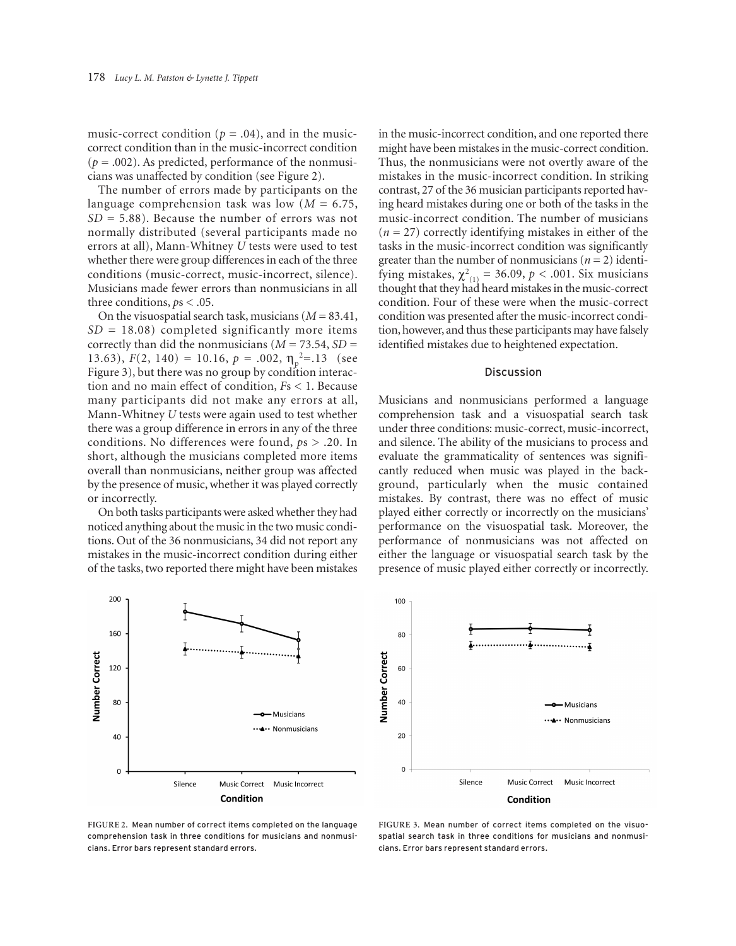music-correct condition ( $p = .04$ ), and in the musiccorrect condition than in the music-incorrect condition  $(p = .002)$ . As predicted, performance of the nonmusicians was unaffected by condition (see Figure 2).

The number of errors made by participants on the language comprehension task was low (*M* = 6.75, *SD* = 5.88). Because the number of errors was not normally distributed (several participants made no errors at all), Mann-Whitney *U* tests were used to test whether there were group differences in each of the three conditions (music-correct, music-incorrect, silence). Musicians made fewer errors than nonmusicians in all three conditions, *p*s < .05.

On the visuospatial search task, musicians (*M* = 83.41,  $SD = 18.08$ ) completed significantly more items correctly than did the nonmusicians ( $M = 73.54$ ,  $SD =$ 13.63),  $F(2, 140) = 10.16$ ,  $p = .002$ ,  $\eta_p^2 = .13$  (see Figure 3), but there was no group by condition interaction and no main effect of condition, *F*s < 1. Because many participants did not make any errors at all, Mann-Whitney *U* tests were again used to test whether there was a group difference in errors in any of the three conditions. No differences were found, *p*s > .20. In short, although the musicians completed more items overall than nonmusicians, neither group was affected by the presence of music, whether it was played correctly or incorrectly.

On both tasks participants were asked whether they had noticed anything about the music in the two music conditions. Out of the 36 nonmusicians, 34 did not report any mistakes in the music-incorrect condition during either of the tasks, two reported there might have been mistakes in the music-incorrect condition, and one reported there might have been mistakes in the music-correct condition. Thus, the nonmusicians were not overtly aware of the mistakes in the music-incorrect condition. In striking contrast, 27 of the 36 musician participants reported having heard mistakes during one or both of the tasks in the music-incorrect condition. The number of musicians (*n* = 27) correctly identifying mistakes in either of the tasks in the music-incorrect condition was significantly greater than the number of nonmusicians  $(n = 2)$  identifying mistakes,  $\chi^2_{(1)} = 36.09$ ,  $p < .001$ . Six musicians thought that they had heard mistakes in the music-correct condition. Four of these were when the music-correct condition was presented after the music-incorrect condition, however, and thus these participants may have falsely identified mistakes due to heightened expectation.

#### Discussion

Musicians and nonmusicians performed a language comprehension task and a visuospatial search task under three conditions: music-correct, music-incorrect, and silence. The ability of the musicians to process and evaluate the grammaticality of sentences was significantly reduced when music was played in the background, particularly when the music contained mistakes. By contrast, there was no effect of music played either correctly or incorrectly on the musicians' performance on the visuospatial task. Moreover, the performance of nonmusicians was not affected on either the language or visuospatial search task by the presence of music played either correctly or incorrectly.





**FIGURE 2.** Mean number of correct items completed on the language comprehension task in three conditions for musicians and nonmusicians. Error bars represent standard errors.

**FIGURE 3.** Mean number of correct items completed on the visuospatial search task in three conditions for musicians and nonmusicians. Error bars represent standard errors.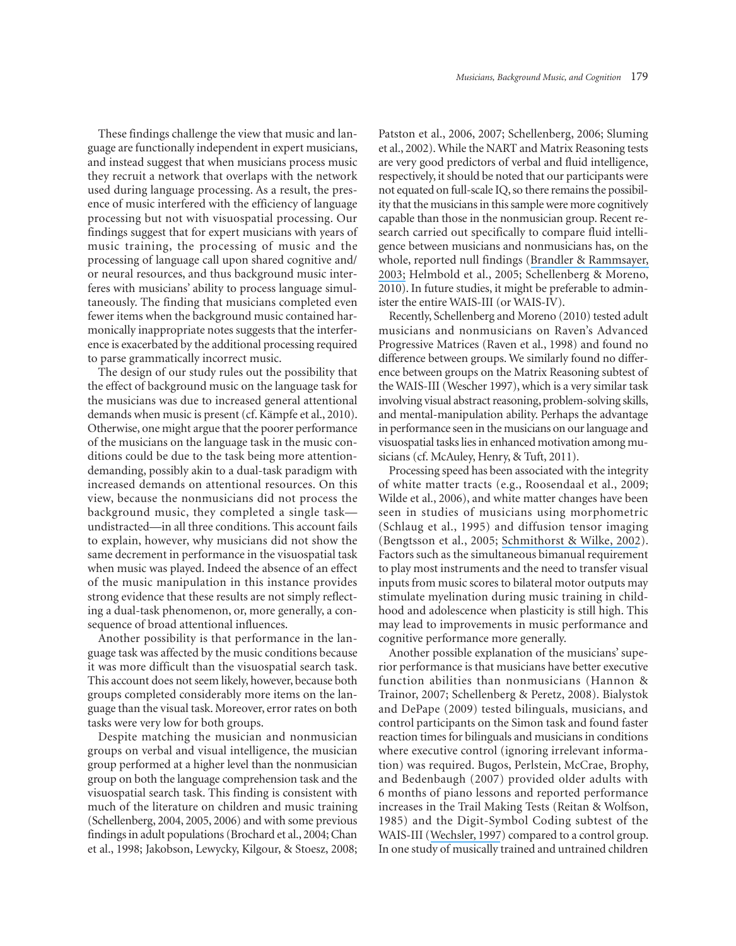These findings challenge the view that music and language are functionally independent in expert musicians, and instead suggest that when musicians process music they recruit a network that overlaps with the network used during language processing. As a result, the presence of music interfered with the efficiency of language processing but not with visuospatial processing. Our findings suggest that for expert musicians with years of music training, the processing of music and the processing of language call upon shared cognitive and/ or neural resources, and thus background music interferes with musicians' ability to process language simultaneously. The finding that musicians completed even fewer items when the background music contained harmonically inappropriate notes suggests that the interference is exacerbated by the additional processing required to parse grammatically incorrect music.

The design of our study rules out the possibility that the effect of background music on the language task for the musicians was due to increased general attentional demands when music is present (cf. Kämpfe et al., 2010). Otherwise, one might argue that the poorer performance of the musicians on the language task in the music conditions could be due to the task being more attentiondemanding, possibly akin to a dual-task paradigm with increased demands on attentional resources. On this view, because the nonmusicians did not process the background music, they completed a single task undistracted—in all three conditions. This account fails to explain, however, why musicians did not show the same decrement in performance in the visuospatial task when music was played. Indeed the absence of an effect of the music manipulation in this instance provides strong evidence that these results are not simply reflecting a dual-task phenomenon, or, more generally, a consequence of broad attentional influences.

Another possibility is that performance in the language task was affected by the music conditions because it was more difficult than the visuospatial search task. This account does not seem likely, however, because both groups completed considerably more items on the language than the visual task. Moreover, error rates on both tasks were very low for both groups.

Despite matching the musician and nonmusician groups on verbal and visual intelligence, the musician group performed at a higher level than the nonmusician group on both the language comprehension task and the visuospatial search task. This finding is consistent with much of the literature on children and music training (Schellenberg, 2004, 2005, 2006) and with some previous findings in adult populations (Brochard et al., 2004; Chan et al., 1998; Jakobson, Lewycky, Kilgour, & Stoesz, 2008; Patston et al., 2006, 2007; Schellenberg, 2006; Sluming et al., 2002). While the NART and Matrix Reasoning tests are very good predictors of verbal and fluid intelligence, respectively, it should be noted that our participants were not equated on full-scale IQ, so there remains the possibility that the musicians in this sample were more cognitively capable than those in the nonmusician group. Recent research carried out specifically to compare fluid intelligence between musicians and nonmusicians has, on the whole, reported null findings ([Brandler & Rammsayer,](https://www.researchgate.net/publication/270626587_Differences_in_Mental_Abilities_between_Musicians_and_Non-Musicians?el=1_x_8&enrichId=rgreq-162b870224c03654c9af4ffb64a488bc-XXX&enrichSource=Y292ZXJQYWdlOzI1NjQ2MDA4NjtBUzo5OTM0NjE1MDMzMDM3MUAxNDAwNjk3Mzc2MTYx) [2003;](https://www.researchgate.net/publication/270626587_Differences_in_Mental_Abilities_between_Musicians_and_Non-Musicians?el=1_x_8&enrichId=rgreq-162b870224c03654c9af4ffb64a488bc-XXX&enrichSource=Y292ZXJQYWdlOzI1NjQ2MDA4NjtBUzo5OTM0NjE1MDMzMDM3MUAxNDAwNjk3Mzc2MTYx) Helmbold et al., 2005; Schellenberg & Moreno, 2010). In future studies, it might be preferable to administer the entire WAIS-III (or WAIS-IV).

Recently, Schellenberg and Moreno (2010) tested adult musicians and nonmusicians on Raven's Advanced Progressive Matrices (Raven et al., 1998) and found no difference between groups. We similarly found no difference between groups on the Matrix Reasoning subtest of the WAIS-III (Wescher 1997), which is a very similar task involving visual abstract reasoning, problem-solving skills, and mental-manipulation ability. Perhaps the advantage in performance seen in the musicians on our language and visuospatial tasks lies in enhanced motivation among musicians (cf. McAuley, Henry, & Tuft, 2011).

Processing speed has been associated with the integrity of white matter tracts (e.g., Roosendaal et al., 2009; Wilde et al., 2006), and white matter changes have been seen in studies of musicians using morphometric (Schlaug et al., 1995) and diffusion tensor imaging (Bengtsson et al., 2005; [Schmithorst & Wilke, 2002](https://www.researchgate.net/publication/11490652_Differences_in_white_matter_architecture_between_musicians_and_non-musicians_A_diffusion_tensor_imaging_study?el=1_x_8&enrichId=rgreq-162b870224c03654c9af4ffb64a488bc-XXX&enrichSource=Y292ZXJQYWdlOzI1NjQ2MDA4NjtBUzo5OTM0NjE1MDMzMDM3MUAxNDAwNjk3Mzc2MTYx)). Factors such as the simultaneous bimanual requirement to play most instruments and the need to transfer visual inputs from music scores to bilateral motor outputs may stimulate myelination during music training in childhood and adolescence when plasticity is still high. This may lead to improvements in music performance and cognitive performance more generally.

Another possible explanation of the musicians' superior performance is that musicians have better executive function abilities than nonmusicians (Hannon & Trainor, 2007; Schellenberg & Peretz, 2008). Bialystok and DePape (2009) tested bilinguals, musicians, and control participants on the Simon task and found faster reaction times for bilinguals and musicians in conditions where executive control (ignoring irrelevant information) was required. Bugos, Perlstein, McCrae, Brophy, and Bedenbaugh (2007) provided older adults with 6 months of piano lessons and reported performance increases in the Trail Making Tests (Reitan & Wolfson, 1985) and the Digit-Symbol Coding subtest of the WAIS-III ([Wechsler, 1997](https://www.researchgate.net/publication/289963775_Wechsler_Adult_Intelligence_Scale-Third_Edition?el=1_x_8&enrichId=rgreq-162b870224c03654c9af4ffb64a488bc-XXX&enrichSource=Y292ZXJQYWdlOzI1NjQ2MDA4NjtBUzo5OTM0NjE1MDMzMDM3MUAxNDAwNjk3Mzc2MTYx)) compared to a control group. In one study of musically trained and untrained children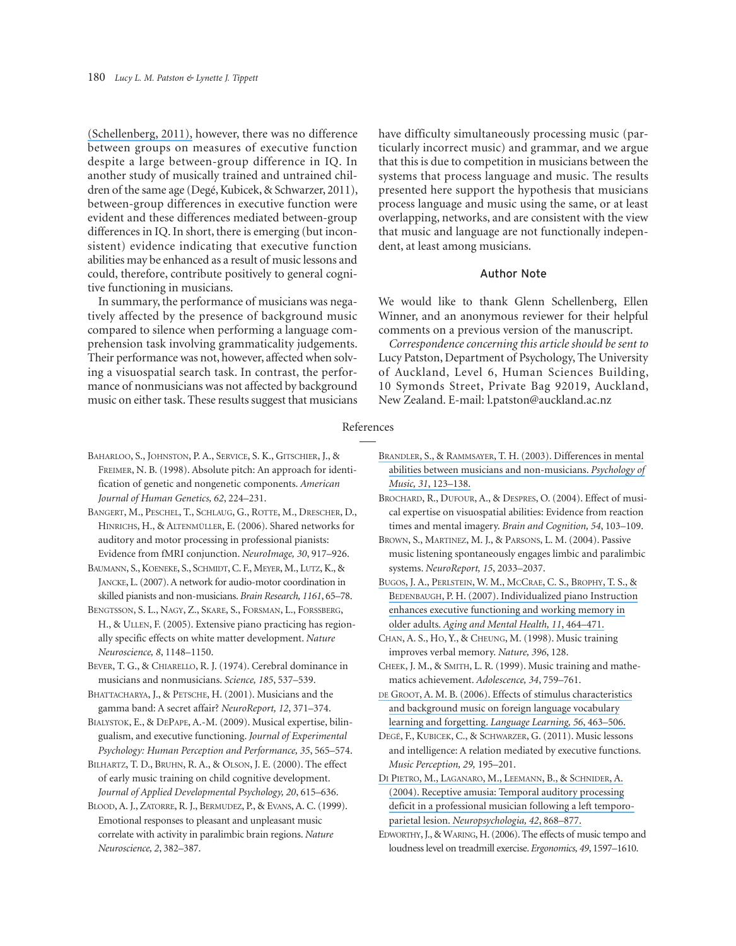[\(Schellenberg, 2011\),](https://www.researchgate.net/publication/51488360_Examining_the_association_between_music_lessons_and_intelligence?el=1_x_8&enrichId=rgreq-162b870224c03654c9af4ffb64a488bc-XXX&enrichSource=Y292ZXJQYWdlOzI1NjQ2MDA4NjtBUzo5OTM0NjE1MDMzMDM3MUAxNDAwNjk3Mzc2MTYx) however, there was no difference between groups on measures of executive function despite a large between-group difference in IQ. In another study of musically trained and untrained children of the same age (Degé, Kubicek, & Schwarzer, 2011), between-group differences in executive function were evident and these differences mediated between-group differences in IQ. In short, there is emerging (but inconsistent) evidence indicating that executive function abilities may be enhanced as a result of music lessons and could, therefore, contribute positively to general cognitive functioning in musicians.

In summary, the performance of musicians was negatively affected by the presence of background music compared to silence when performing a language comprehension task involving grammaticality judgements. Their performance was not, however, affected when solving a visuospatial search task. In contrast, the performance of nonmusicians was not affected by background music on either task. These results suggest that musicians have difficulty simultaneously processing music (particularly incorrect music) and grammar, and we argue that this is due to competition in musicians between the systems that process language and music. The results presented here support the hypothesis that musicians process language and music using the same, or at least overlapping, networks, and are consistent with the view that music and language are not functionally independent, at least among musicians.

## Author Note

We would like to thank Glenn Schellenberg, Ellen Winner, and an anonymous reviewer for their helpful comments on a previous version of the manuscript.

*Correspondence concerning this article should be sent to* Lucy Patston, Department of Psychology, The University of Auckland, Level 6, Human Sciences Building, 10 Symonds Street, Private Bag 92019, Auckland, New Zealand. E-mail: l.patston@auckland.ac.nz

#### References

- Baharloo, S., Johnston, P. A., Service, S. K., Gitschier, J., & FREIMER, N. B. (1998). Absolute pitch: An approach for identification of genetic and nongenetic components. *American Journal of Human Genetics, 62*, 224–231.
- Bangert, M., Peschel, T., Schlaug, G., Rotte, M., Drescher, D., Hinrichs, H., & Altenmüller, E. (2006). Shared networks for auditory and motor processing in professional pianists: Evidence from fMRI conjunction. *NeuroImage, 30*, 917–926.
- Baumann, S., Koeneke, S., Schmidt, C. F., Meyer, M., Lutz, K., & JANCKE, L. (2007). A network for audio-motor coordination in skilled pianists and non-musicians. *Brain Research, 1161*, 65–78.
- Bengtsson, S. L., Nagy, Z., Skare, S., Forsman, L., Forssberg, H., & Ullen, F. (2005). Extensive piano practicing has regionally specific effects on white matter development. *Nature Neuroscience, 8*, 1148–1150.
- BEVER, T. G., & CHIARELLO, R. J. (1974). Cerebral dominance in musicians and nonmusicians. *Science, 185*, 537–539.
- BHATTACHARYA, J., & PETSCHE, H. (2001). Musicians and the gamma band: A secret affair? *NeuroReport, 12*, 371–374.
- Bialystok, E., & DePape, A.-M. (2009). Musical expertise, bilingualism, and executive functioning. *Journal of Experimental Psychology: Human Perception and Performance, 35*, 565–574.
- Bilhartz, T. D., Bruhn, R. A., & Olson, J. E. (2000). The effect of early music training on child cognitive development. *Journal of Applied Developmental Psychology, 20*, 615–636.
- Blood, A. J., Zatorre, R. J., Bermudez, P., & Evans, A. C. (1999). Emotional responses to pleasant and unpleasant music correlate with activity in paralimbic brain regions. *Nature Neuroscience, 2*, 382–387.
- [Brandler, S., & Rammsayer, T. H. \(](https://www.researchgate.net/publication/270626587_Differences_in_Mental_Abilities_between_Musicians_and_Non-Musicians?el=1_x_8&enrichId=rgreq-162b870224c03654c9af4ffb64a488bc-XXX&enrichSource=Y292ZXJQYWdlOzI1NjQ2MDA4NjtBUzo5OTM0NjE1MDMzMDM3MUAxNDAwNjk3Mzc2MTYx)2003). Differences in mental [abilities between musicians and non-musicians.](https://www.researchgate.net/publication/270626587_Differences_in_Mental_Abilities_between_Musicians_and_Non-Musicians?el=1_x_8&enrichId=rgreq-162b870224c03654c9af4ffb64a488bc-XXX&enrichSource=Y292ZXJQYWdlOzI1NjQ2MDA4NjtBUzo5OTM0NjE1MDMzMDM3MUAxNDAwNjk3Mzc2MTYx) *Psychology of Music, 31*[, 123–138.](https://www.researchgate.net/publication/270626587_Differences_in_Mental_Abilities_between_Musicians_and_Non-Musicians?el=1_x_8&enrichId=rgreq-162b870224c03654c9af4ffb64a488bc-XXX&enrichSource=Y292ZXJQYWdlOzI1NjQ2MDA4NjtBUzo5OTM0NjE1MDMzMDM3MUAxNDAwNjk3Mzc2MTYx)
- Brochard, R., Dufour, A., & Despres, O. (2004). Effect of musical expertise on visuospatial abilities: Evidence from reaction times and mental imagery. *Brain and Cognition, 54*, 103–109.
- Brown, S., Martinez, M. J., & Parsons, L. M. (2004). Passive music listening spontaneously engages limbic and paralimbic systems. *NeuroReport, 15*, 2033–2037.
- [Bugos, J. A., Perlstein, W. M., McCrae, C. S., Brophy, T. S., &](https://www.researchgate.net/publication/6224665_Individualized_Piano_Instruction_enhances_executive_functioning_and_working_memory_in_older_adults?el=1_x_8&enrichId=rgreq-162b870224c03654c9af4ffb64a488bc-XXX&enrichSource=Y292ZXJQYWdlOzI1NjQ2MDA4NjtBUzo5OTM0NjE1MDMzMDM3MUAxNDAwNjk3Mzc2MTYx) BEDENBAUGH, P. H. ([2007\). Individualized piano Instruction](https://www.researchgate.net/publication/6224665_Individualized_Piano_Instruction_enhances_executive_functioning_and_working_memory_in_older_adults?el=1_x_8&enrichId=rgreq-162b870224c03654c9af4ffb64a488bc-XXX&enrichSource=Y292ZXJQYWdlOzI1NjQ2MDA4NjtBUzo5OTM0NjE1MDMzMDM3MUAxNDAwNjk3Mzc2MTYx) [enhances executive functioning and working memory in](https://www.researchgate.net/publication/6224665_Individualized_Piano_Instruction_enhances_executive_functioning_and_working_memory_in_older_adults?el=1_x_8&enrichId=rgreq-162b870224c03654c9af4ffb64a488bc-XXX&enrichSource=Y292ZXJQYWdlOzI1NjQ2MDA4NjtBUzo5OTM0NjE1MDMzMDM3MUAxNDAwNjk3Mzc2MTYx) older adults. *[Aging and Mental Health, 11](https://www.researchgate.net/publication/6224665_Individualized_Piano_Instruction_enhances_executive_functioning_and_working_memory_in_older_adults?el=1_x_8&enrichId=rgreq-162b870224c03654c9af4ffb64a488bc-XXX&enrichSource=Y292ZXJQYWdlOzI1NjQ2MDA4NjtBUzo5OTM0NjE1MDMzMDM3MUAxNDAwNjk3Mzc2MTYx)*, 464–471.
- Chan, A. S., Ho, Y., & Cheung, M. (1998). Music training improves verbal memory. *Nature, 396*, 128.
- Cheek, J. M., & Smith, L. R. (1999). Music training and mathematics achievement. *Adolescence, 34*, 759–761.
- DE GROOT, A. M. B. ([2006\). Effects of stimulus characteristics](https://www.researchgate.net/publication/229809470_Effects_of_Stimulus_Characteristics_and_Background_Music_on_Foreign_Language_Vocabulary_Learning_and_Forgetting?el=1_x_8&enrichId=rgreq-162b870224c03654c9af4ffb64a488bc-XXX&enrichSource=Y292ZXJQYWdlOzI1NjQ2MDA4NjtBUzo5OTM0NjE1MDMzMDM3MUAxNDAwNjk3Mzc2MTYx) [and background music on foreign language vocabulary](https://www.researchgate.net/publication/229809470_Effects_of_Stimulus_Characteristics_and_Background_Music_on_Foreign_Language_Vocabulary_Learning_and_Forgetting?el=1_x_8&enrichId=rgreq-162b870224c03654c9af4ffb64a488bc-XXX&enrichSource=Y292ZXJQYWdlOzI1NjQ2MDA4NjtBUzo5OTM0NjE1MDMzMDM3MUAxNDAwNjk3Mzc2MTYx)  [learning and forgetting.](https://www.researchgate.net/publication/229809470_Effects_of_Stimulus_Characteristics_and_Background_Music_on_Foreign_Language_Vocabulary_Learning_and_Forgetting?el=1_x_8&enrichId=rgreq-162b870224c03654c9af4ffb64a488bc-XXX&enrichSource=Y292ZXJQYWdlOzI1NjQ2MDA4NjtBUzo5OTM0NjE1MDMzMDM3MUAxNDAwNjk3Mzc2MTYx) *Language Learning, 56*, 463–506.
- Degé, F., Kubicek, C., & Schwarzer, G. (2011). Music lessons and intelligence: A relation mediated by executive functions. *Music Perception, 29,* 195–201.
- Di [Pietro, M., Laganaro, M., Leemann, B., & Schnider, A.](https://www.researchgate.net/publication/7247962_Receptive_amusia_Temporal_auditory_processing_deficit_in_a_professional_musician_following_a_left_temporo-parietal_lesion?el=1_x_8&enrichId=rgreq-162b870224c03654c9af4ffb64a488bc-XXX&enrichSource=Y292ZXJQYWdlOzI1NjQ2MDA4NjtBUzo5OTM0NjE1MDMzMDM3MUAxNDAwNjk3Mzc2MTYx)  ([2004\). Receptive amusia: Temporal auditory processing](https://www.researchgate.net/publication/7247962_Receptive_amusia_Temporal_auditory_processing_deficit_in_a_professional_musician_following_a_left_temporo-parietal_lesion?el=1_x_8&enrichId=rgreq-162b870224c03654c9af4ffb64a488bc-XXX&enrichSource=Y292ZXJQYWdlOzI1NjQ2MDA4NjtBUzo5OTM0NjE1MDMzMDM3MUAxNDAwNjk3Mzc2MTYx) [deficit in a professional musician following a left temporo](https://www.researchgate.net/publication/7247962_Receptive_amusia_Temporal_auditory_processing_deficit_in_a_professional_musician_following_a_left_temporo-parietal_lesion?el=1_x_8&enrichId=rgreq-162b870224c03654c9af4ffb64a488bc-XXX&enrichSource=Y292ZXJQYWdlOzI1NjQ2MDA4NjtBUzo5OTM0NjE1MDMzMDM3MUAxNDAwNjk3Mzc2MTYx)parietal lesion. *[Neuropsychologia, 42](https://www.researchgate.net/publication/7247962_Receptive_amusia_Temporal_auditory_processing_deficit_in_a_professional_musician_following_a_left_temporo-parietal_lesion?el=1_x_8&enrichId=rgreq-162b870224c03654c9af4ffb64a488bc-XXX&enrichSource=Y292ZXJQYWdlOzI1NjQ2MDA4NjtBUzo5OTM0NjE1MDMzMDM3MUAxNDAwNjk3Mzc2MTYx)*, 868–877.
- Edworthy, J., & Waring, H. (2006). The effects of music tempo and loudness level on treadmill exercise. *Ergonomics, 49*, 1597–1610.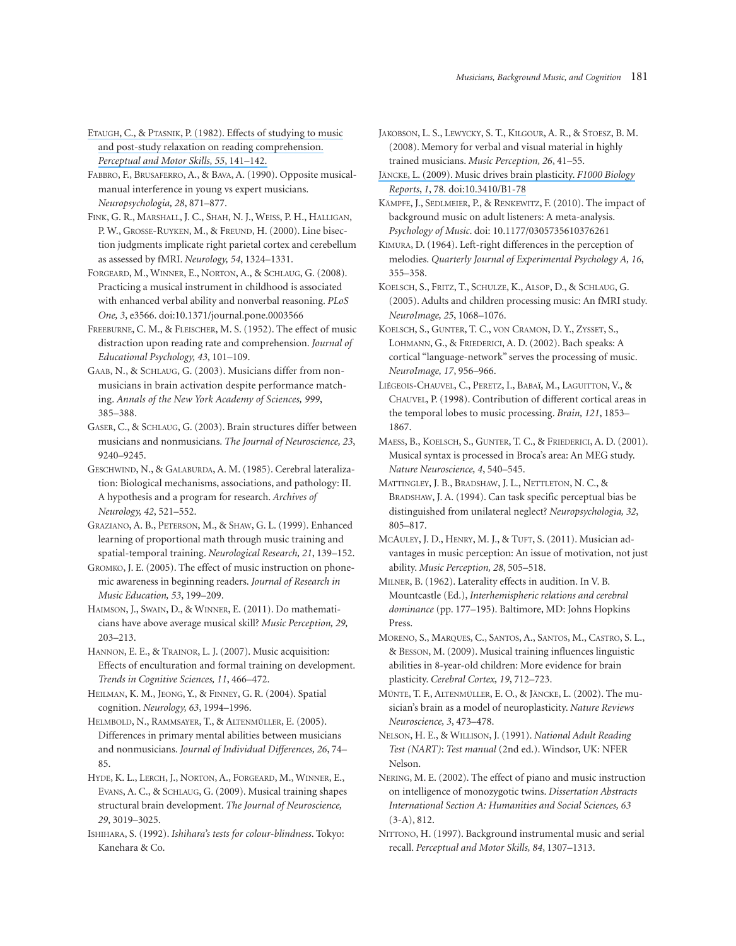Etaugh, C., & Ptasnik, P. ([1982\). Effects of studying to music](https://www.researchgate.net/publication/234698596_Effects_of_Studying_to_Music_and_Post-Study_Relaxation_on_Reading_Comprehension?el=1_x_8&enrichId=rgreq-162b870224c03654c9af4ffb64a488bc-XXX&enrichSource=Y292ZXJQYWdlOzI1NjQ2MDA4NjtBUzo5OTM0NjE1MDMzMDM3MUAxNDAwNjk3Mzc2MTYx)  [and post-study relaxation on reading comprehension.](https://www.researchgate.net/publication/234698596_Effects_of_Studying_to_Music_and_Post-Study_Relaxation_on_Reading_Comprehension?el=1_x_8&enrichId=rgreq-162b870224c03654c9af4ffb64a488bc-XXX&enrichSource=Y292ZXJQYWdlOzI1NjQ2MDA4NjtBUzo5OTM0NjE1MDMzMDM3MUAxNDAwNjk3Mzc2MTYx)  *[Perceptual and Motor Skills, 55](https://www.researchgate.net/publication/234698596_Effects_of_Studying_to_Music_and_Post-Study_Relaxation_on_Reading_Comprehension?el=1_x_8&enrichId=rgreq-162b870224c03654c9af4ffb64a488bc-XXX&enrichSource=Y292ZXJQYWdlOzI1NjQ2MDA4NjtBUzo5OTM0NjE1MDMzMDM3MUAxNDAwNjk3Mzc2MTYx)*, 141–142.

Fabbro, F., Brusaferro, A., & Bava, A. (1990). Opposite musicalmanual interference in young vs expert musicians. *Neuropsychologia, 28*, 871–877.

Fink, G. R., Marshall, J. C., Shah, N. J., Weiss, P. H., Halligan, P. W., GROSSE-RUYKEN, M., & FREUND, H. (2000). Line bisection judgments implicate right parietal cortex and cerebellum as assessed by fMRI. *Neurology, 54*, 1324–1331.

Forgeard, M., Winner, E., Norton, A., & Schlaug, G. (2008). Practicing a musical instrument in childhood is associated with enhanced verbal ability and nonverbal reasoning. *PLoS One, 3*, e3566. doi:10.1371/journal.pone.0003566

Freeburne, C. M., & Fleischer, M. S. (1952). The effect of music distraction upon reading rate and comprehension. *Journal of Educational Psychology, 43*, 101–109.

Gaab, N., & Schlaug, G. (2003). Musicians differ from nonmusicians in brain activation despite performance matching. *Annals of the New York Academy of Sciences, 999*, 385–388.

Gaser, C., & Schlaug, G. (2003). Brain structures differ between musicians and nonmusicians. *The Journal of Neuroscience, 23*, 9240–9245.

GESCHWIND, N., & GALABURDA, A. M. (1985). Cerebral lateralization: Biological mechanisms, associations, and pathology: II. A hypothesis and a program for research. *Archives of Neurology, 42*, 521–552.

Graziano, A. B., Peterson, M., & Shaw, G. L. (1999). Enhanced learning of proportional math through music training and spatial-temporal training. *Neurological Research, 21*, 139–152.

Gromko, J. E. (2005). The effect of music instruction on phonemic awareness in beginning readers. *Journal of Research in Music Education, 53*, 199–209.

Haimson, J., Swain, D., & Winner, E. (2011). Do mathematicians have above average musical skill? *Music Perception, 29,* 203–213.

Hannon, E. E., & Trainor, L. J. (2007). Music acquisition: Effects of enculturation and formal training on development. *Trends in Cognitive Sciences, 11*, 466–472.

Heilman, K. M., Jeong, Y., & Finney, G. R. (2004). Spatial cognition. *Neurology, 63*, 1994–1996.

Helmbold, N., Rammsayer, T., & Altenmüller, E. (2005). Differences in primary mental abilities between musicians and nonmusicians. *Journal of Individual Differences, 26*, 74– 85.

Hyde, K. L., Lerch, J., Norton, A., Forgeard, M., Winner, E., Evans, A. C., & Schlaug, G. (2009). Musical training shapes structural brain development. *The Journal of Neuroscience, 29*, 3019–3025.

Ishihara, S. (1992). *Ishihara's tests for colour-blindness*. Tokyo: Kanehara & Co.

Jakobson, L. S., Lewycky, S. T., Kilgour, A. R., & Stoesz, B. M. (2008). Memory for verbal and visual material in highly trained musicians. *Music Perception, 26*, 41–55.

Jäncke, L. ([2009\). Music drives brain plasticity.](https://www.researchgate.net/publication/47430098_Music_drives_brain_plasticity?el=1_x_8&enrichId=rgreq-162b870224c03654c9af4ffb64a488bc-XXX&enrichSource=Y292ZXJQYWdlOzI1NjQ2MDA4NjtBUzo5OTM0NjE1MDMzMDM3MUAxNDAwNjk3Mzc2MTYx) *F1000 Biology Reports*, *1*, 78*.* [doi:10.3410/B1-78](https://www.researchgate.net/publication/47430098_Music_drives_brain_plasticity?el=1_x_8&enrichId=rgreq-162b870224c03654c9af4ffb64a488bc-XXX&enrichSource=Y292ZXJQYWdlOzI1NjQ2MDA4NjtBUzo5OTM0NjE1MDMzMDM3MUAxNDAwNjk3Mzc2MTYx)

Kämpfe, J., Sedlmeier, P., & Renkewitz, F. (2010). The impact of background music on adult listeners: A meta-analysis. *Psychology of Music*. doi: 10.1177/0305735610376261

Kimura, D. (1964). Left-right differences in the perception of melodies. *Quarterly Journal of Experimental Psychology A, 16*, 355–358.

Koelsch, S., Fritz, T., Schulze, K., Alsop, D., & Schlaug, G. (2005). Adults and children processing music: An fMRI study. *NeuroImage, 25*, 1068–1076.

Koelsch, S., Gunter, T. C., von Cramon, D. Y., Zysset, S., Lohmann, G., & Friederici, A. D. (2002). Bach speaks: A cortical "language-network" serves the processing of music. *NeuroImage, 17*, 956–966.

Liégeois-Chauvel, C., Peretz, I., Babaï, M., Laguitton, V., & Chauvel, P. (1998). Contribution of different cortical areas in the temporal lobes to music processing. *Brain, 121*, 1853– 1867.

Maess, B., Koelsch, S., Gunter, T. C., & Friederici, A. D. (2001). Musical syntax is processed in Broca's area: An MEG study. *Nature Neuroscience, 4*, 540–545.

Mattingley, J. B., Bradshaw, J. L., Nettleton, N. C., & BRADSHAW, J. A. (1994). Can task specific perceptual bias be distinguished from unilateral neglect? *Neuropsychologia, 32*, 805–817.

MCAULEY, J. D., HENRY, M. J., & TUFT, S. (2011). Musician advantages in music perception: An issue of motivation, not just ability. *Music Perception, 28*, 505–518.

Milner, B. (1962). Laterality effects in audition. In V. B. Mountcastle (Ed.), *Interhemispheric relations and cerebral dominance* (pp. 177–195). Baltimore, MD: Johns Hopkins Press.

Moreno, S., Marques, C., Santos, A., Santos, M., Castro, S. L., & Besson, M. (2009). Musical training influences linguistic abilities in 8-year-old children: More evidence for brain plasticity. *Cerebral Cortex, 19*, 712–723.

Münte, T. F., Altenmüller, E. O., & Jäncke, L. (2002). The musician's brain as a model of neuroplasticity. *Nature Reviews Neuroscience, 3*, 473–478.

Nelson, H. E., & Willison, J. (1991). *National Adult Reading Test (NART)*: *Test manual* (2nd ed.). Windsor, UK: NFER Nelson.

Nering, M. E. (2002). The effect of piano and music instruction on intelligence of monozygotic twins. *Dissertation Abstracts International Section A: Humanities and Social Sciences, 63* (3-A), 812.

NITTONO, H. (1997). Background instrumental music and serial recall. *Perceptual and Motor Skills, 84*, 1307–1313.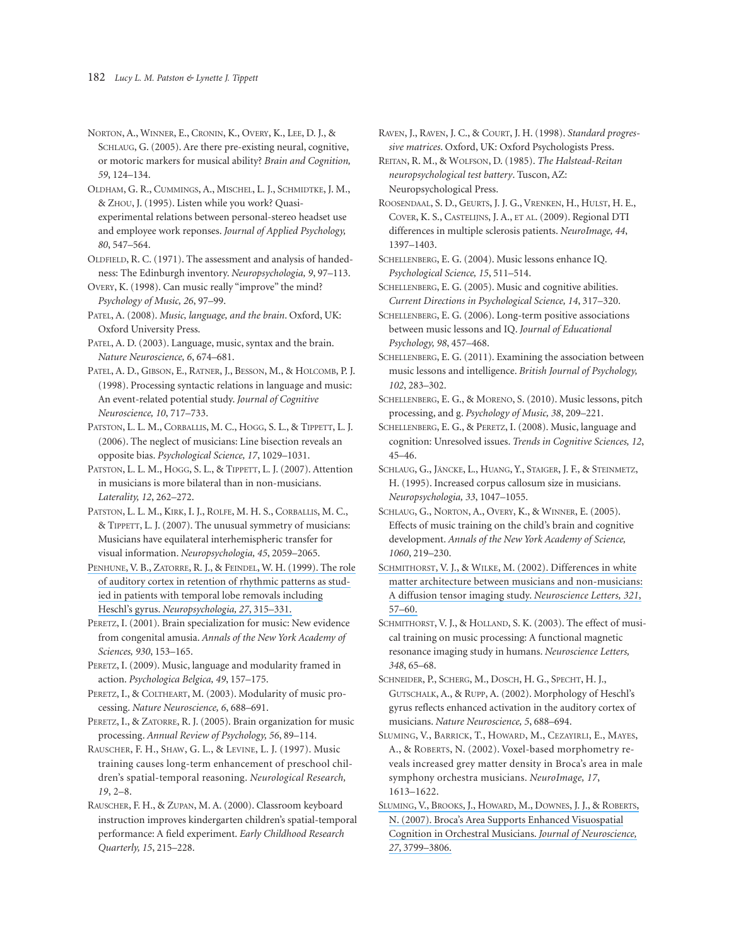- Norton, A., Winner, E., Cronin, K., Overy, K., Lee, D. J., & SCHLAUG, G. (2005). Are there pre-existing neural, cognitive, or motoric markers for musical ability? *Brain and Cognition, 59*, 124–134.
- Oldham, G. R., Cummings, A., Mischel, L. J., Schmidtke, J. M., & Zhou, J. (1995). Listen while you work? Quasiexperimental relations between personal-stereo headset use and employee work reponses. *Journal of Applied Psychology, 80*, 547–564.
- OLDFIELD, R. C. (1971). The assessment and analysis of handedness: The Edinburgh inventory. *Neuropsychologia, 9*, 97–113.
- Overy, K. (1998). Can music really "improve" the mind? *Psychology of Music, 26*, 97–99.
- Patel, A. (2008). *Music, language, and the brain*. Oxford, UK: Oxford University Press.
- PATEL, A. D. (2003). Language, music, syntax and the brain. *Nature Neuroscience, 6*, 674–681.
- Patel, A. D., Gibson, E., Ratner, J., Besson, M., & Holcomb, P. J. (1998). Processing syntactic relations in language and music: An event-related potential study. *Journal of Cognitive Neuroscience, 10*, 717–733.
- PATSTON, L. L. M., CORBALLIS, M. C., HOGG, S. L., & TIPPETT, L. J. (2006). The neglect of musicians: Line bisection reveals an opposite bias. *Psychological Science, 17*, 1029–1031.
- PATSTON, L. L. M., HOGG, S. L., & TIPPETT, L. J. (2007). Attention in musicians is more bilateral than in non-musicians. *Laterality, 12*, 262–272.
- Patston, L. L. M., Kirk, I. J., Rolfe, M. H. S., Corballis, M. C., & TIPPETT, L. J. (2007). The unusual symmetry of musicians: Musicians have equilateral interhemispheric transfer for visual information. *Neuropsychologia, 45*, 2059–2065.
- PENHUNE, V. B., ZATORRE, R. J., & FEINDEL, W. H. (1999). The role [of auditory cortex in retention of rhythmic patterns as stud](https://www.researchgate.net/publication/13097868_The_role_of_auditory_cortex_in_retention_of_rhythmic_patterns_as_studied_in_patients_with_temporal_lobe_removals_including_Heschl)[ied in patients with temporal lobe removals including](https://www.researchgate.net/publication/13097868_The_role_of_auditory_cortex_in_retention_of_rhythmic_patterns_as_studied_in_patients_with_temporal_lobe_removals_including_Heschl) Heschl's gyrus. *[Neuropsychologia, 27](https://www.researchgate.net/publication/13097868_The_role_of_auditory_cortex_in_retention_of_rhythmic_patterns_as_studied_in_patients_with_temporal_lobe_removals_including_Heschl)*, 315–331.
- PERETZ, I. (2001). Brain specialization for music: New evidence from congenital amusia. *Annals of the New York Academy of Sciences, 930*, 153–165.
- PERETZ, I. (2009). Music, language and modularity framed in action. *Psychologica Belgica, 49*, 157–175.
- PERETZ, I., & COLTHEART, M. (2003). Modularity of music processing. *Nature Neuroscience, 6*, 688–691.
- PERETZ, I., & ZATORRE, R. J. (2005). Brain organization for music processing. *Annual Review of Psychology, 56*, 89–114.
- Rauscher, F. H., Shaw, G. L., & Levine, L. J. (1997). Music training causes long-term enhancement of preschool children's spatial-temporal reasoning. *Neurological Research, 19*, 2–8.
- Rauscher, F. H., & Zupan, M. A. (2000). Classroom keyboard instruction improves kindergarten children's spatial-temporal performance: A field experiment. *Early Childhood Research Quarterly, 15*, 215–228.
- Raven, J., Raven, J. C., & Court, J. H. (1998). *Standard progressive matrices*. Oxford, UK: Oxford Psychologists Press.
- Reitan, R. M., & Wolfson, D. (1985). *The Halstead-Reitan neuropsychological test battery*. Tuscon, AZ: Neuropsychological Press.
- Roosendaal, S. D., Geurts, J. J. G., Vrenken, H., Hulst, H. E., Cover, K. S., Castelijns, J. A., et al. (2009). Regional DTI differences in multiple sclerosis patients. *NeuroImage, 44*, 1397–1403.
- SCHELLENBERG, E. G. (2004). Music lessons enhance IQ. *Psychological Science, 15*, 511–514.
- SCHELLENBERG, E. G. (2005). Music and cognitive abilities. *Current Directions in Psychological Science, 14*, 317–320.
- SCHELLENBERG, E. G. (2006). Long-term positive associations between music lessons and IQ. *Journal of Educational Psychology, 98*, 457–468.
- SCHELLENBERG, E. G. (2011). Examining the association between music lessons and intelligence. *British Journal of Psychology, 102*, 283–302.
- Schellenberg, E. G., & Moreno, S. (2010). Music lessons, pitch processing, and g. *Psychology of Music, 38*, 209–221.
- SCHELLENBERG, E. G., & PERETZ, I. (2008). Music, language and cognition: Unresolved issues. *Trends in Cognitive Sciences, 12*, 45–46.
- Schlaug, G., Jäncke, L., Huang, Y., Staiger, J. F., & Steinmetz, H. (1995). Increased corpus callosum size in musicians. *Neuropsychologia, 33*, 1047–1055.
- Schlaug, G., Norton, A., Overy, K., & Winner, E. (2005). Effects of music training on the child's brain and cognitive development. *Annals of the New York Academy of Science, 1060*, 219–230.
- SCHMITHORST, V. J., & WILKE, M. (2002). Differences in white [matter architecture between musicians and non-musicians:](https://www.researchgate.net/publication/11490652_Differences_in_white_matter_architecture_between_musicians_and_non-musicians_A_diffusion_tensor_imaging_study?el=1_x_8&enrichId=rgreq-162b870224c03654c9af4ffb64a488bc-XXX&enrichSource=Y292ZXJQYWdlOzI1NjQ2MDA4NjtBUzo5OTM0NjE1MDMzMDM3MUAxNDAwNjk3Mzc2MTYx) [A diffusion tensor imaging study.](https://www.researchgate.net/publication/11490652_Differences_in_white_matter_architecture_between_musicians_and_non-musicians_A_diffusion_tensor_imaging_study?el=1_x_8&enrichId=rgreq-162b870224c03654c9af4ffb64a488bc-XXX&enrichSource=Y292ZXJQYWdlOzI1NjQ2MDA4NjtBUzo5OTM0NjE1MDMzMDM3MUAxNDAwNjk3Mzc2MTYx) *Neuroscience Letters, 321*, [57–60.](https://www.researchgate.net/publication/11490652_Differences_in_white_matter_architecture_between_musicians_and_non-musicians_A_diffusion_tensor_imaging_study?el=1_x_8&enrichId=rgreq-162b870224c03654c9af4ffb64a488bc-XXX&enrichSource=Y292ZXJQYWdlOzI1NjQ2MDA4NjtBUzo5OTM0NjE1MDMzMDM3MUAxNDAwNjk3Mzc2MTYx)
- SCHMITHORST, V. J., & HOLLAND, S. K. (2003). The effect of musical training on music processing: A functional magnetic resonance imaging study in humans. *Neuroscience Letters, 348*, 65–68.
- Schneider, P., Scherg, M., Dosch, H. G., Specht, H. J., Gutschalk, A., & Rupp, A. (2002). Morphology of Heschl's gyrus reflects enhanced activation in the auditory cortex of musicians. *Nature Neuroscience, 5*, 688–694.
- Sluming, V., Barrick, T., Howard, M., Cezayirli, E., Mayes, A., & Roberts, N. (2002). Voxel-based morphometry reveals increased grey matter density in Broca's area in male symphony orchestra musicians. *NeuroImage, 17*, 1613–1622.
- [Sluming, V., Brooks, J., Howard, M., Downes, J. J., & Roberts,](https://www.researchgate.net/publication/6413202_Broca)  N. ([2007\). Broca's Area Supports Enhanced Visuospatial](https://www.researchgate.net/publication/6413202_Broca)  [Cognition in Orchestral Musicians.](https://www.researchgate.net/publication/6413202_Broca) *Journal of Neuroscience, 27*[, 3799–3806.](https://www.researchgate.net/publication/6413202_Broca)